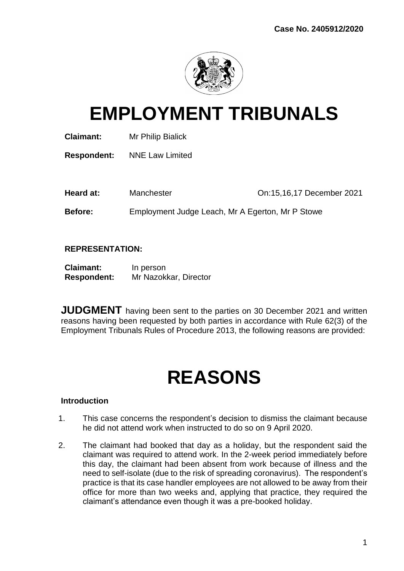

# **EMPLOYMENT TRIBUNALS**

**Claimant:** Mr Philip Bialick

**Respondent:** NNE Law Limited

Heard at: Manchester **Contract Contract Presenting Contract Presenting Contract Presenting Manchester** On:15,16,17 December 2021

**Before:** Employment Judge Leach, Mr A Egerton, Mr P Stowe

# **REPRESENTATION:**

| <b>Claimant:</b>   | In person             |
|--------------------|-----------------------|
| <b>Respondent:</b> | Mr Nazokkar, Director |

**JUDGMENT** having been sent to the parties on 30 December 2021 and written reasons having been requested by both parties in accordance with Rule 62(3) of the Employment Tribunals Rules of Procedure 2013, the following reasons are provided:

# **REASONS**

# **Introduction**

- 1. This case concerns the respondent's decision to dismiss the claimant because he did not attend work when instructed to do so on 9 April 2020.
- 2. The claimant had booked that day as a holiday, but the respondent said the claimant was required to attend work. In the 2-week period immediately before this day, the claimant had been absent from work because of illness and the need to self-isolate (due to the risk of spreading coronavirus). The respondent's practice is that its case handler employees are not allowed to be away from their office for more than two weeks and, applying that practice, they required the claimant's attendance even though it was a pre-booked holiday.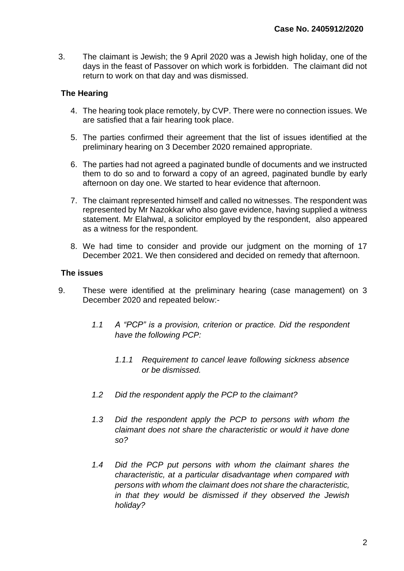3. The claimant is Jewish; the 9 April 2020 was a Jewish high holiday, one of the days in the feast of Passover on which work is forbidden. The claimant did not return to work on that day and was dismissed.

# **The Hearing**

- 4. The hearing took place remotely, by CVP. There were no connection issues. We are satisfied that a fair hearing took place.
- 5. The parties confirmed their agreement that the list of issues identified at the preliminary hearing on 3 December 2020 remained appropriate.
- 6. The parties had not agreed a paginated bundle of documents and we instructed them to do so and to forward a copy of an agreed, paginated bundle by early afternoon on day one. We started to hear evidence that afternoon.
- 7. The claimant represented himself and called no witnesses. The respondent was represented by Mr Nazokkar who also gave evidence, having supplied a witness statement. Mr Elahwal, a solicitor employed by the respondent, also appeared as a witness for the respondent.
- 8. We had time to consider and provide our judgment on the morning of 17 December 2021. We then considered and decided on remedy that afternoon.

## **The issues**

- 9. These were identified at the preliminary hearing (case management) on 3 December 2020 and repeated below:-
	- *1.1 A "PCP" is a provision, criterion or practice. Did the respondent have the following PCP:*
		- *1.1.1 Requirement to cancel leave following sickness absence or be dismissed.*
	- *1.2 Did the respondent apply the PCP to the claimant?*
	- *1.3 Did the respondent apply the PCP to persons with whom the claimant does not share the characteristic or would it have done so?*
	- *1.4 Did the PCP put persons with whom the claimant shares the characteristic, at a particular disadvantage when compared with persons with whom the claimant does not share the characteristic, in that they would be dismissed if they observed the Jewish holiday?*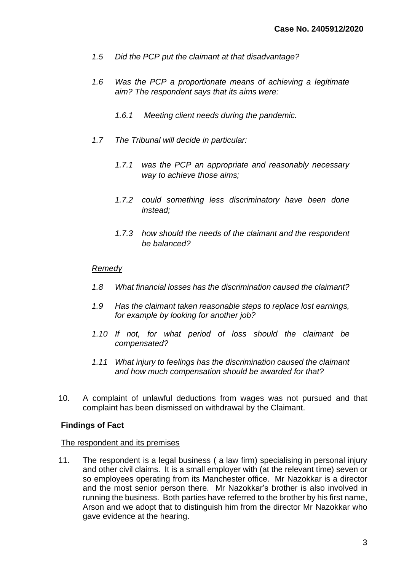- *1.5 Did the PCP put the claimant at that disadvantage?*
- *1.6 Was the PCP a proportionate means of achieving a legitimate aim? The respondent says that its aims were:*
	- *1.6.1 Meeting client needs during the pandemic.*
- *1.7 The Tribunal will decide in particular:*
	- *1.7.1 was the PCP an appropriate and reasonably necessary way to achieve those aims;*
	- *1.7.2 could something less discriminatory have been done instead;*
	- *1.7.3 how should the needs of the claimant and the respondent be balanced?*

## *Remedy*

- *1.8 What financial losses has the discrimination caused the claimant?*
- *1.9 Has the claimant taken reasonable steps to replace lost earnings, for example by looking for another job?*
- *1.10 If not, for what period of loss should the claimant be compensated?*
- *1.11 What injury to feelings has the discrimination caused the claimant and how much compensation should be awarded for that?*
- 10. A complaint of unlawful deductions from wages was not pursued and that complaint has been dismissed on withdrawal by the Claimant.

## **Findings of Fact**

#### The respondent and its premises

11. The respondent is a legal business ( a law firm) specialising in personal injury and other civil claims. It is a small employer with (at the relevant time) seven or so employees operating from its Manchester office. Mr Nazokkar is a director and the most senior person there. Mr Nazokkar's brother is also involved in running the business. Both parties have referred to the brother by his first name, Arson and we adopt that to distinguish him from the director Mr Nazokkar who gave evidence at the hearing.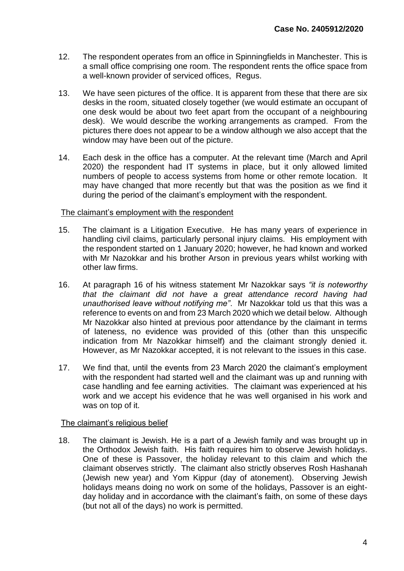- 12. The respondent operates from an office in Spinningfields in Manchester. This is a small office comprising one room. The respondent rents the office space from a well-known provider of serviced offices, Regus.
- 13. We have seen pictures of the office. It is apparent from these that there are six desks in the room, situated closely together (we would estimate an occupant of one desk would be about two feet apart from the occupant of a neighbouring desk). We would describe the working arrangements as cramped. From the pictures there does not appear to be a window although we also accept that the window may have been out of the picture.
- 14. Each desk in the office has a computer. At the relevant time (March and April 2020) the respondent had IT systems in place, but it only allowed limited numbers of people to access systems from home or other remote location. It may have changed that more recently but that was the position as we find it during the period of the claimant's employment with the respondent.

## The claimant's employment with the respondent

- 15. The claimant is a Litigation Executive. He has many years of experience in handling civil claims, particularly personal injury claims. His employment with the respondent started on 1 January 2020; however, he had known and worked with Mr Nazokkar and his brother Arson in previous years whilst working with other law firms.
- 16. At paragraph 16 of his witness statement Mr Nazokkar says *"it is noteworthy that the claimant did not have a great attendance record having had unauthorised leave without notifying me"*. Mr Nazokkar told us that this was a reference to events on and from 23 March 2020 which we detail below. Although Mr Nazokkar also hinted at previous poor attendance by the claimant in terms of lateness, no evidence was provided of this (other than this unspecific indication from Mr Nazokkar himself) and the claimant strongly denied it. However, as Mr Nazokkar accepted, it is not relevant to the issues in this case.
- 17. We find that, until the events from 23 March 2020 the claimant's employment with the respondent had started well and the claimant was up and running with case handling and fee earning activities. The claimant was experienced at his work and we accept his evidence that he was well organised in his work and was on top of it.

## The claimant's religious belief

18. The claimant is Jewish. He is a part of a Jewish family and was brought up in the Orthodox Jewish faith. His faith requires him to observe Jewish holidays. One of these is Passover, the holiday relevant to this claim and which the claimant observes strictly. The claimant also strictly observes Rosh Hashanah (Jewish new year) and Yom Kippur (day of atonement). Observing Jewish holidays means doing no work on some of the holidays, Passover is an eightday holiday and in accordance with the claimant's faith, on some of these days (but not all of the days) no work is permitted.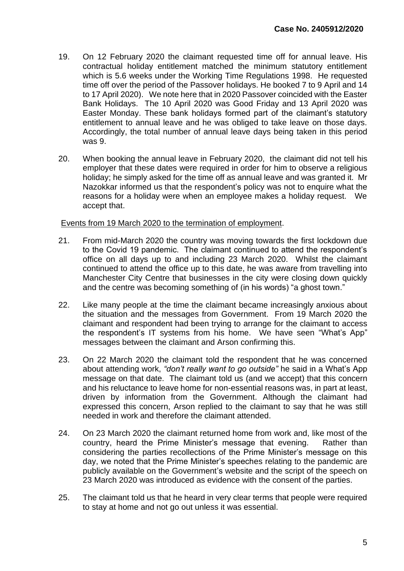- 19. On 12 February 2020 the claimant requested time off for annual leave. His contractual holiday entitlement matched the minimum statutory entitlement which is 5.6 weeks under the Working Time Regulations 1998. He requested time off over the period of the Passover holidays. He booked 7 to 9 April and 14 to 17 April 2020). We note here that in 2020 Passover coincided with the Easter Bank Holidays. The 10 April 2020 was Good Friday and 13 April 2020 was Easter Monday. These bank holidays formed part of the claimant's statutory entitlement to annual leave and he was obliged to take leave on those days. Accordingly, the total number of annual leave days being taken in this period was 9.
- 20. When booking the annual leave in February 2020, the claimant did not tell his employer that these dates were required in order for him to observe a religious holiday; he simply asked for the time off as annual leave and was granted it. Mr Nazokkar informed us that the respondent's policy was not to enquire what the reasons for a holiday were when an employee makes a holiday request. We accept that.

## Events from 19 March 2020 to the termination of employment.

- 21. From mid-March 2020 the country was moving towards the first lockdown due to the Covid 19 pandemic. The claimant continued to attend the respondent's office on all days up to and including 23 March 2020. Whilst the claimant continued to attend the office up to this date, he was aware from travelling into Manchester City Centre that businesses in the city were closing down quickly and the centre was becoming something of (in his words) "a ghost town."
- 22. Like many people at the time the claimant became increasingly anxious about the situation and the messages from Government. From 19 March 2020 the claimant and respondent had been trying to arrange for the claimant to access the respondent's IT systems from his home. We have seen "What's App" messages between the claimant and Arson confirming this.
- 23. On 22 March 2020 the claimant told the respondent that he was concerned about attending work, *"don't really want to go outside"* he said in a What's App message on that date. The claimant told us (and we accept) that this concern and his reluctance to leave home for non-essential reasons was, in part at least, driven by information from the Government. Although the claimant had expressed this concern, Arson replied to the claimant to say that he was still needed in work and therefore the claimant attended.
- 24. On 23 March 2020 the claimant returned home from work and, like most of the country, heard the Prime Minister's message that evening. Rather than considering the parties recollections of the Prime Minister's message on this day, we noted that the Prime Minister's speeches relating to the pandemic are publicly available on the Government's website and the script of the speech on 23 March 2020 was introduced as evidence with the consent of the parties.
- 25. The claimant told us that he heard in very clear terms that people were required to stay at home and not go out unless it was essential.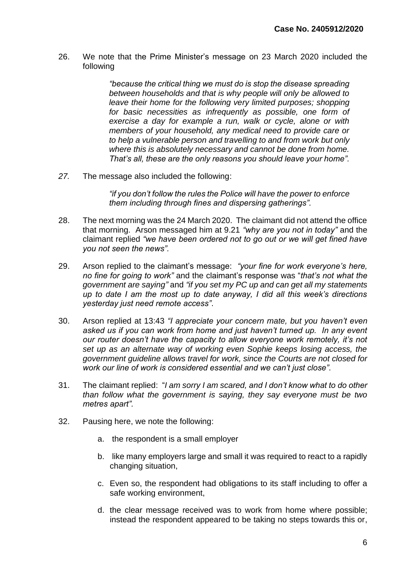26. We note that the Prime Minister's message on 23 March 2020 included the following

> *"because the critical thing we must do is stop the disease spreading between households and that is why people will only be allowed to leave their home for the following very limited purposes; shopping for basic necessities as infrequently as possible, one form of exercise a day for example a run, walk or cycle, alone or with members of your household, any medical need to provide care or to help a vulnerable person and travelling to and from work but only where this is absolutely necessary and cannot be done from home. That's all, these are the only reasons you should leave your home".*

*27.* The message also included the following:

*"if you don't follow the rules the Police will have the power to enforce them including through fines and dispersing gatherings".* 

- 28. The next morning was the 24 March 2020. The claimant did not attend the office that morning. Arson messaged him at 9.21 *"why are you not in today"* and the claimant replied *"we have been ordered not to go out or we will get fined have you not seen the news".*
- 29. Arson replied to the claimant's message: *"your fine for work everyone's here, no fine for going to work"* and the claimant's response was "*that's not what the government are saying"* and *"if you set my PC up and can get all my statements up to date I am the most up to date anyway, I did all this week's directions yesterday just need remote access"*.
- 30. Arson replied at 13:43 *"I appreciate your concern mate, but you haven't even asked us if you can work from home and just haven't turned up. In any event our router doesn't have the capacity to allow everyone work remotely, it's not set up as an alternate way of working even Sophie keeps losing access, the government guideline allows travel for work, since the Courts are not closed for work our line of work is considered essential and we can't just close".*
- 31. The claimant replied: "*I am sorry I am scared, and I don't know what to do other than follow what the government is saying, they say everyone must be two metres apart".*
- 32. Pausing here, we note the following:
	- a. the respondent is a small employer
	- b. like many employers large and small it was required to react to a rapidly changing situation,
	- c. Even so, the respondent had obligations to its staff including to offer a safe working environment,
	- d. the clear message received was to work from home where possible; instead the respondent appeared to be taking no steps towards this or,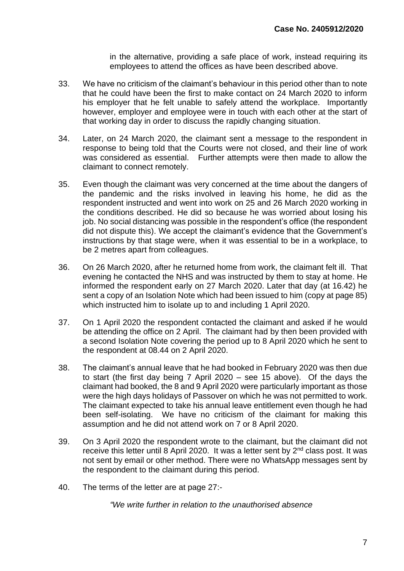in the alternative, providing a safe place of work, instead requiring its employees to attend the offices as have been described above.

- 33. We have no criticism of the claimant's behaviour in this period other than to note that he could have been the first to make contact on 24 March 2020 to inform his employer that he felt unable to safely attend the workplace. Importantly however, employer and employee were in touch with each other at the start of that working day in order to discuss the rapidly changing situation.
- 34. Later, on 24 March 2020, the claimant sent a message to the respondent in response to being told that the Courts were not closed, and their line of work was considered as essential. Further attempts were then made to allow the claimant to connect remotely.
- 35. Even though the claimant was very concerned at the time about the dangers of the pandemic and the risks involved in leaving his home, he did as the respondent instructed and went into work on 25 and 26 March 2020 working in the conditions described. He did so because he was worried about losing his job. No social distancing was possible in the respondent's office (the respondent did not dispute this). We accept the claimant's evidence that the Government's instructions by that stage were, when it was essential to be in a workplace, to be 2 metres apart from colleagues.
- 36. On 26 March 2020, after he returned home from work, the claimant felt ill. That evening he contacted the NHS and was instructed by them to stay at home. He informed the respondent early on 27 March 2020. Later that day (at 16.42) he sent a copy of an Isolation Note which had been issued to him (copy at page 85) which instructed him to isolate up to and including 1 April 2020.
- 37. On 1 April 2020 the respondent contacted the claimant and asked if he would be attending the office on 2 April. The claimant had by then been provided with a second Isolation Note covering the period up to 8 April 2020 which he sent to the respondent at 08.44 on 2 April 2020.
- 38. The claimant's annual leave that he had booked in February 2020 was then due to start (the first day being 7 April 2020 – see 15 above). Of the days the claimant had booked, the 8 and 9 April 2020 were particularly important as those were the high days holidays of Passover on which he was not permitted to work. The claimant expected to take his annual leave entitlement even though he had been self-isolating. We have no criticism of the claimant for making this assumption and he did not attend work on 7 or 8 April 2020.
- 39. On 3 April 2020 the respondent wrote to the claimant, but the claimant did not receive this letter until 8 April 2020. It was a letter sent by  $2<sup>nd</sup>$  class post. It was not sent by email or other method. There were no WhatsApp messages sent by the respondent to the claimant during this period.
- 40. The terms of the letter are at page 27:-

*"We write further in relation to the unauthorised absence*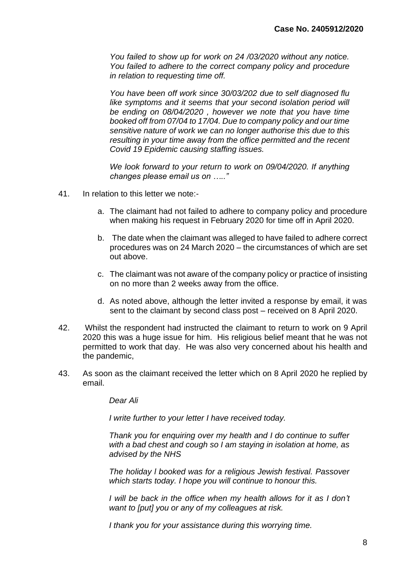*You failed to show up for work on 24 /03/2020 without any notice. You failed to adhere to the correct company policy and procedure in relation to requesting time off.*

*You have been off work since 30/03/202 due to self diagnosed flu*  like symptoms and it seems that your second isolation period will *be ending on 08/04/2020 , however we note that you have time booked off from 07/04 to 17/04. Due to company policy and our time sensitive nature of work we can no longer authorise this due to this resulting in your time away from the office permitted and the recent Covid 19 Epidemic causing staffing issues.* 

*We look forward to your return to work on 09/04/2020. If anything changes please email us on ….."*

- 41. In relation to this letter we note:
	- a. The claimant had not failed to adhere to company policy and procedure when making his request in February 2020 for time off in April 2020.
	- b. The date when the claimant was alleged to have failed to adhere correct procedures was on 24 March 2020 – the circumstances of which are set out above.
	- c. The claimant was not aware of the company policy or practice of insisting on no more than 2 weeks away from the office.
	- d. As noted above, although the letter invited a response by email, it was sent to the claimant by second class post – received on 8 April 2020.
- 42. Whilst the respondent had instructed the claimant to return to work on 9 April 2020 this was a huge issue for him. His religious belief meant that he was not permitted to work that day. He was also very concerned about his health and the pandemic,
- 43. As soon as the claimant received the letter which on 8 April 2020 he replied by email.

*Dear Ali*

*I write further to your letter I have received today.*

*Thank you for enquiring over my health and I do continue to suffer with a bad chest and cough so I am staying in isolation at home, as advised by the NHS*

*The holiday l booked was for a religious Jewish festival. Passover which starts today. I hope you will continue to honour this.*

*I* will be back in the office when my health allows for it as I don't *want to [put] you or any of my colleagues at risk.*

*I thank you for your assistance during this worrying time.*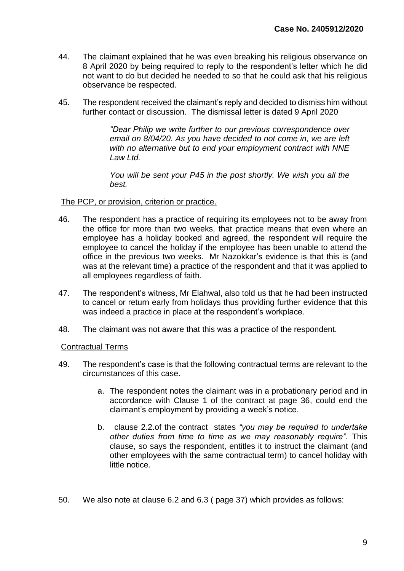- 44. The claimant explained that he was even breaking his religious observance on 8 April 2020 by being required to reply to the respondent's letter which he did not want to do but decided he needed to so that he could ask that his religious observance be respected.
- 45. The respondent received the claimant's reply and decided to dismiss him without further contact or discussion. The dismissal letter is dated 9 April 2020

*"Dear Philip we write further to our previous correspondence over email on 8/04/20. As you have decided to not come in, we are left with no alternative but to end your employment contract with NNE Law Ltd.*

*You will be sent your P45 in the post shortly. We wish you all the best.* 

## The PCP, or provision, criterion or practice.

- 46. The respondent has a practice of requiring its employees not to be away from the office for more than two weeks, that practice means that even where an employee has a holiday booked and agreed, the respondent will require the employee to cancel the holiday if the employee has been unable to attend the office in the previous two weeks. Mr Nazokkar's evidence is that this is (and was at the relevant time) a practice of the respondent and that it was applied to all employees regardless of faith.
- 47. The respondent's witness, Mr Elahwal, also told us that he had been instructed to cancel or return early from holidays thus providing further evidence that this was indeed a practice in place at the respondent's workplace.
- 48. The claimant was not aware that this was a practice of the respondent.

## Contractual Terms

- 49. The respondent's case is that the following contractual terms are relevant to the circumstances of this case.
	- a. The respondent notes the claimant was in a probationary period and in accordance with Clause 1 of the contract at page 36, could end the claimant's employment by providing a week's notice.
	- b. clause 2.2.of the contract states *"you may be required to undertake other duties from time to time as we may reasonably require".* This clause, so says the respondent, entitles it to instruct the claimant (and other employees with the same contractual term) to cancel holiday with little notice.
- 50. We also note at clause 6.2 and 6.3 ( page 37) which provides as follows: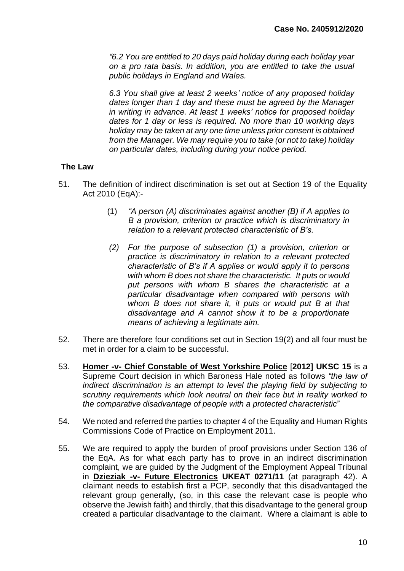*"6.2 You are entitled to 20 days paid holiday during each holiday year on a pro rata basis. In addition, you are entitled to take the usual public holidays in England and Wales.* 

*6.3 You shall give at least 2 weeks' notice of any proposed holiday dates longer than 1 day and these must be agreed by the Manager in writing in advance. At least 1 weeks' notice for proposed holiday dates for 1 day or less is required. No more than 10 working days holiday may be taken at any one time unless prior consent is obtained from the Manager. We may require you to take (or not to take) holiday on particular dates, including during your notice period.*

# **The Law**

- 51. The definition of indirect discrimination is set out at Section 19 of the Equality Act 2010 (EqA):-
	- (1) *"A person (A) discriminates against another (B) if A applies to B a provision, criterion or practice which is discriminatory in relation to a relevant protected characteristic of B's.*
	- *(2) For the purpose of subsection (1) a provision, criterion or practice is discriminatory in relation to a relevant protected characteristic of B's if A applies or would apply it to persons with whom B does not share the characteristic. It puts or would put persons with whom B shares the characteristic at a particular disadvantage when compared with persons with whom B does not share it, it puts or would put B at that disadvantage and A cannot show it to be a proportionate means of achieving a legitimate aim.*
- 52. There are therefore four conditions set out in Section 19(2) and all four must be met in order for a claim to be successful.
- 53. **Homer -v- Chief Constable of West Yorkshire Police** [**2012] UKSC 15** is a Supreme Court decision in which Baroness Hale noted as follows *"the law of indirect discrimination is an attempt to level the playing field by subjecting to scrutiny requirements which look neutral on their face but in reality worked to the comparative disadvantage of people with a protected characteristic*"
- 54. We noted and referred the parties to chapter 4 of the Equality and Human Rights Commissions Code of Practice on Employment 2011.
- 55. We are required to apply the burden of proof provisions under Section 136 of the EqA. As for what each party has to prove in an indirect discrimination complaint, we are guided by the Judgment of the Employment Appeal Tribunal in **Dzieziak -v- Future Electronics UKEAT 0271/11** (at paragraph 42). A claimant needs to establish first a PCP, secondly that this disadvantaged the relevant group generally, (so, in this case the relevant case is people who observe the Jewish faith) and thirdly, that this disadvantage to the general group created a particular disadvantage to the claimant. Where a claimant is able to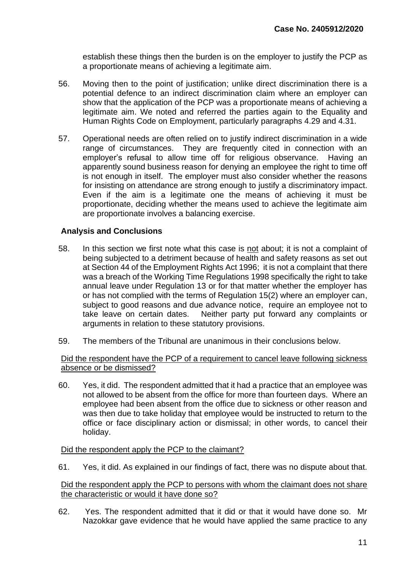establish these things then the burden is on the employer to justify the PCP as a proportionate means of achieving a legitimate aim.

- 56. Moving then to the point of justification; unlike direct discrimination there is a potential defence to an indirect discrimination claim where an employer can show that the application of the PCP was a proportionate means of achieving a legitimate aim. We noted and referred the parties again to the Equality and Human Rights Code on Employment, particularly paragraphs 4.29 and 4.31.
- 57. Operational needs are often relied on to justify indirect discrimination in a wide range of circumstances. They are frequently cited in connection with an employer's refusal to allow time off for religious observance. Having an apparently sound business reason for denying an employee the right to time off is not enough in itself. The employer must also consider whether the reasons for insisting on attendance are strong enough to justify a discriminatory impact. Even if the aim is a legitimate one the means of achieving it must be proportionate, deciding whether the means used to achieve the legitimate aim are proportionate involves a balancing exercise.

# **Analysis and Conclusions**

- 58. In this section we first note what this case is not about; it is not a complaint of being subjected to a detriment because of health and safety reasons as set out at Section 44 of the Employment Rights Act 1996; it is not a complaint that there was a breach of the Working Time Regulations 1998 specifically the right to take annual leave under Regulation 13 or for that matter whether the employer has or has not complied with the terms of Regulation 15(2) where an employer can, subject to good reasons and due advance notice, require an employee not to take leave on certain dates. Neither party put forward any complaints or arguments in relation to these statutory provisions.
- 59. The members of the Tribunal are unanimous in their conclusions below.

#### Did the respondent have the PCP of a requirement to cancel leave following sickness absence or be dismissed?

60. Yes, it did. The respondent admitted that it had a practice that an employee was not allowed to be absent from the office for more than fourteen days. Where an employee had been absent from the office due to sickness or other reason and was then due to take holiday that employee would be instructed to return to the office or face disciplinary action or dismissal; in other words, to cancel their holiday.

## Did the respondent apply the PCP to the claimant?

61. Yes, it did. As explained in our findings of fact, there was no dispute about that.

#### Did the respondent apply the PCP to persons with whom the claimant does not share the characteristic or would it have done so?

62. Yes. The respondent admitted that it did or that it would have done so. Mr Nazokkar gave evidence that he would have applied the same practice to any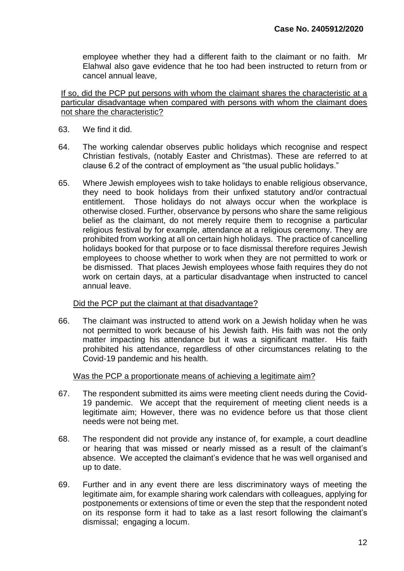employee whether they had a different faith to the claimant or no faith. Mr Elahwal also gave evidence that he too had been instructed to return from or cancel annual leave,

If so, did the PCP put persons with whom the claimant shares the characteristic at a particular disadvantage when compared with persons with whom the claimant does not share the characteristic?

- 63. We find it did.
- 64. The working calendar observes public holidays which recognise and respect Christian festivals, (notably Easter and Christmas). These are referred to at clause 6.2 of the contract of employment as "the usual public holidays."
- 65. Where Jewish employees wish to take holidays to enable religious observance, they need to book holidays from their unfixed statutory and/or contractual entitlement. Those holidays do not always occur when the workplace is otherwise closed. Further, observance by persons who share the same religious belief as the claimant, do not merely require them to recognise a particular religious festival by for example, attendance at a religious ceremony. They are prohibited from working at all on certain high holidays. The practice of cancelling holidays booked for that purpose or to face dismissal therefore requires Jewish employees to choose whether to work when they are not permitted to work or be dismissed. That places Jewish employees whose faith requires they do not work on certain days, at a particular disadvantage when instructed to cancel annual leave.

#### Did the PCP put the claimant at that disadvantage?

66. The claimant was instructed to attend work on a Jewish holiday when he was not permitted to work because of his Jewish faith. His faith was not the only matter impacting his attendance but it was a significant matter. His faith prohibited his attendance, regardless of other circumstances relating to the Covid-19 pandemic and his health.

#### Was the PCP a proportionate means of achieving a legitimate aim?

- 67. The respondent submitted its aims were meeting client needs during the Covid-19 pandemic. We accept that the requirement of meeting client needs is a legitimate aim; However, there was no evidence before us that those client needs were not being met.
- 68. The respondent did not provide any instance of, for example, a court deadline or hearing that was missed or nearly missed as a result of the claimant's absence. We accepted the claimant's evidence that he was well organised and up to date.
- 69. Further and in any event there are less discriminatory ways of meeting the legitimate aim, for example sharing work calendars with colleagues, applying for postponements or extensions of time or even the step that the respondent noted on its response form it had to take as a last resort following the claimant's dismissal; engaging a locum.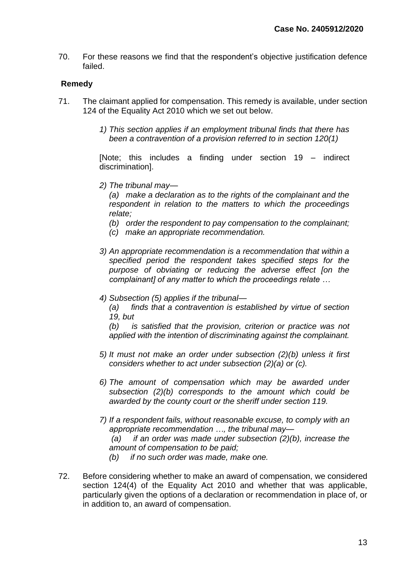70. For these reasons we find that the respondent's objective justification defence failed.

# **Remedy**

- 71. The claimant applied for compensation. This remedy is available, under section 124 of the Equality Act 2010 which we set out below.
	- *1) This section applies if an employment tribunal finds that there has been a contravention of a provision referred to in section 120(1)*

[Note; this includes a finding under section 19 – indirect discrimination].

*2) The tribunal may—*

*(a) make a declaration as to the rights of the complainant and the respondent in relation to the matters to which the proceedings relate;*

*(b) order the respondent to pay compensation to the complainant;*

- *(c) make an appropriate recommendation.*
- *3) An appropriate recommendation is a recommendation that within a specified period the respondent takes specified steps for the purpose of obviating or reducing the adverse effect [on the complainant] of any matter to which the proceedings relate …*
- *4) Subsection (5) applies if the tribunal—*

*(a) finds that a contravention is established by virtue of section 19, but*

*(b) is satisfied that the provision, criterion or practice was not applied with the intention of discriminating against the complainant.*

- *5) It must not make an order under subsection (2)(b) unless it first considers whether to act under subsection (2)(a) or (c).*
- *6) The amount of compensation which may be awarded under subsection (2)(b) corresponds to the amount which could be awarded by the county court or the sheriff under section 119.*
- *7) If a respondent fails, without reasonable excuse, to comply with an appropriate recommendation …, the tribunal may— (a) if an order was made under subsection (2)(b), increase the amount of compensation to be paid;*
	- *(b) if no such order was made, make one.*
- 72. Before considering whether to make an award of compensation, we considered section 124(4) of the Equality Act 2010 and whether that was applicable, particularly given the options of a declaration or recommendation in place of, or in addition to, an award of compensation.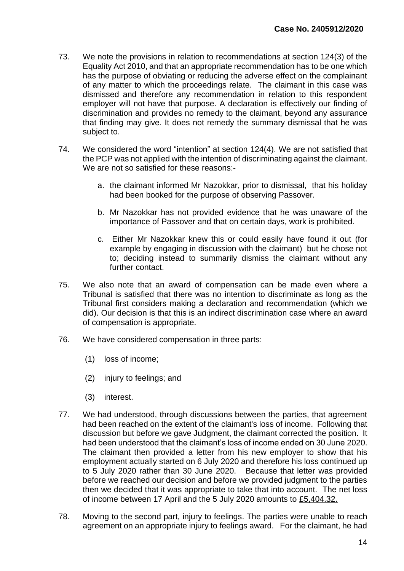- 73. We note the provisions in relation to recommendations at section 124(3) of the Equality Act 2010, and that an appropriate recommendation has to be one which has the purpose of obviating or reducing the adverse effect on the complainant of any matter to which the proceedings relate. The claimant in this case was dismissed and therefore any recommendation in relation to this respondent employer will not have that purpose. A declaration is effectively our finding of discrimination and provides no remedy to the claimant, beyond any assurance that finding may give. It does not remedy the summary dismissal that he was subject to.
- 74. We considered the word "intention" at section 124(4). We are not satisfied that the PCP was not applied with the intention of discriminating against the claimant. We are not so satisfied for these reasons:
	- a. the claimant informed Mr Nazokkar, prior to dismissal, that his holiday had been booked for the purpose of observing Passover.
	- b. Mr Nazokkar has not provided evidence that he was unaware of the importance of Passover and that on certain days, work is prohibited.
	- c. Either Mr Nazokkar knew this or could easily have found it out (for example by engaging in discussion with the claimant) but he chose not to; deciding instead to summarily dismiss the claimant without any further contact.
- 75. We also note that an award of compensation can be made even where a Tribunal is satisfied that there was no intention to discriminate as long as the Tribunal first considers making a declaration and recommendation (which we did). Our decision is that this is an indirect discrimination case where an award of compensation is appropriate.
- 76. We have considered compensation in three parts:
	- (1) loss of income;
	- (2) injury to feelings; and
	- (3) interest.
- 77. We had understood, through discussions between the parties, that agreement had been reached on the extent of the claimant's loss of income. Following that discussion but before we gave Judgment, the claimant corrected the position. It had been understood that the claimant's loss of income ended on 30 June 2020. The claimant then provided a letter from his new employer to show that his employment actually started on 6 July 2020 and therefore his loss continued up to 5 July 2020 rather than 30 June 2020. Because that letter was provided before we reached our decision and before we provided judgment to the parties then we decided that it was appropriate to take that into account. The net loss of income between 17 April and the 5 July 2020 amounts to £5,404.32.
- 78. Moving to the second part, injury to feelings. The parties were unable to reach agreement on an appropriate injury to feelings award. For the claimant, he had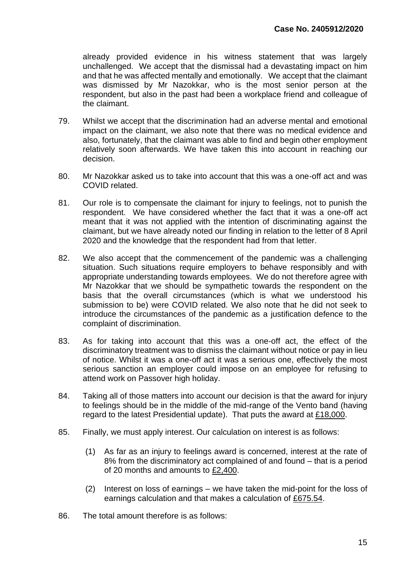already provided evidence in his witness statement that was largely unchallenged. We accept that the dismissal had a devastating impact on him and that he was affected mentally and emotionally. We accept that the claimant was dismissed by Mr Nazokkar, who is the most senior person at the respondent, but also in the past had been a workplace friend and colleague of the claimant.

- 79. Whilst we accept that the discrimination had an adverse mental and emotional impact on the claimant, we also note that there was no medical evidence and also, fortunately, that the claimant was able to find and begin other employment relatively soon afterwards. We have taken this into account in reaching our decision.
- 80. Mr Nazokkar asked us to take into account that this was a one-off act and was COVID related.
- 81. Our role is to compensate the claimant for injury to feelings, not to punish the respondent. We have considered whether the fact that it was a one-off act meant that it was not applied with the intention of discriminating against the claimant, but we have already noted our finding in relation to the letter of 8 April 2020 and the knowledge that the respondent had from that letter.
- 82. We also accept that the commencement of the pandemic was a challenging situation. Such situations require employers to behave responsibly and with appropriate understanding towards employees. We do not therefore agree with Mr Nazokkar that we should be sympathetic towards the respondent on the basis that the overall circumstances (which is what we understood his submission to be) were COVID related. We also note that he did not seek to introduce the circumstances of the pandemic as a justification defence to the complaint of discrimination.
- 83. As for taking into account that this was a one-off act, the effect of the discriminatory treatment was to dismiss the claimant without notice or pay in lieu of notice. Whilst it was a one-off act it was a serious one, effectively the most serious sanction an employer could impose on an employee for refusing to attend work on Passover high holiday.
- 84. Taking all of those matters into account our decision is that the award for injury to feelings should be in the middle of the mid-range of the Vento band (having regard to the latest Presidential update). That puts the award at £18,000.
- 85. Finally, we must apply interest. Our calculation on interest is as follows:
	- (1) As far as an injury to feelings award is concerned, interest at the rate of 8% from the discriminatory act complained of and found – that is a period of 20 months and amounts to  $£2,400$ .
	- (2) Interest on loss of earnings we have taken the mid-point for the loss of earnings calculation and that makes a calculation of £675.54.
- 86. The total amount therefore is as follows: